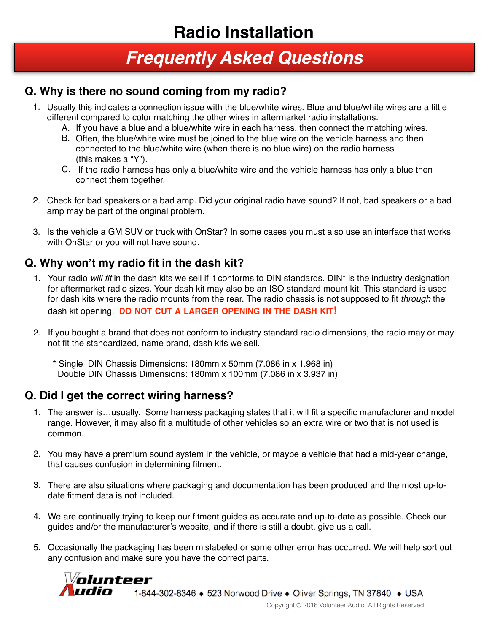# *Frequently Asked Questions*

#### **Q. Why is there no sound coming from my radio?**

- 1. Usually this indicates a connection issue with the blue/white wires. Blue and blue/white wires are a little different compared to color matching the other wires in aftermarket radio installations.
	- A. If you have a blue and a blue/white wire in each harness, then connect the matching wires.
	- B. Often, the blue/white wire must be joined to the blue wire on the vehicle harness and then connected to the blue/white wire (when there is no blue wire) on the radio harness (this makes a "Y").
	- C. If the radio harness has only a blue/white wire and the vehicle harness has only a blue then connect them together.
- 2. Check for bad speakers or a bad amp. Did your original radio have sound? If not, bad speakers or a bad amp may be part of the original problem.
- 3. Is the vehicle a GM SUV or truck with OnStar? In some cases you must also use an interface that works with OnStar or you will not have sound.

### **Q. Why won't my radio fit in the dash kit?**

- 1. Your radio *will fit* in the dash kits we sell if it conforms to DIN standards. DIN\* is the industry designation for aftermarket radio sizes. Your dash kit may also be an ISO standard mount kit. This standard is used for dash kits where the radio mounts from the rear. The radio chassis is not supposed to fit *through* the dash kit opening. **DO NOT CUT A LARGER OPENING IN THE DASH KIT!**
- 2. If you bought a brand that does not conform to industry standard radio dimensions, the radio may or may not fit the standardized, name brand, dash kits we sell.
	- \* Single DIN Chassis Dimensions: 180mm x 50mm (7.086 in x 1.968 in) Double DIN Chassis Dimensions: 180mm x 100mm (7.086 in x 3.937 in)

### **Q. Did I get the correct wiring harness?**

- 1. The answer is…usually. Some harness packaging states that it will fit a specific manufacturer and model range. However, it may also fit a multitude of other vehicles so an extra wire or two that is not used is common.
- 2. You may have a premium sound system in the vehicle, or maybe a vehicle that had a mid-year change, that causes confusion in determining fitment.
- 3. There are also situations where packaging and documentation has been produced and the most up-todate fitment data is not included.
- 4. We are continually trying to keep our fitment guides as accurate and up-to-date as possible. Check our guides and/or the manufacturer's website, and if there is still a doubt, give us a call.
- 5. Occasionally the packaging has been mislabeled or some other error has occurred. We will help sort out any confusion and make sure you have the correct parts.